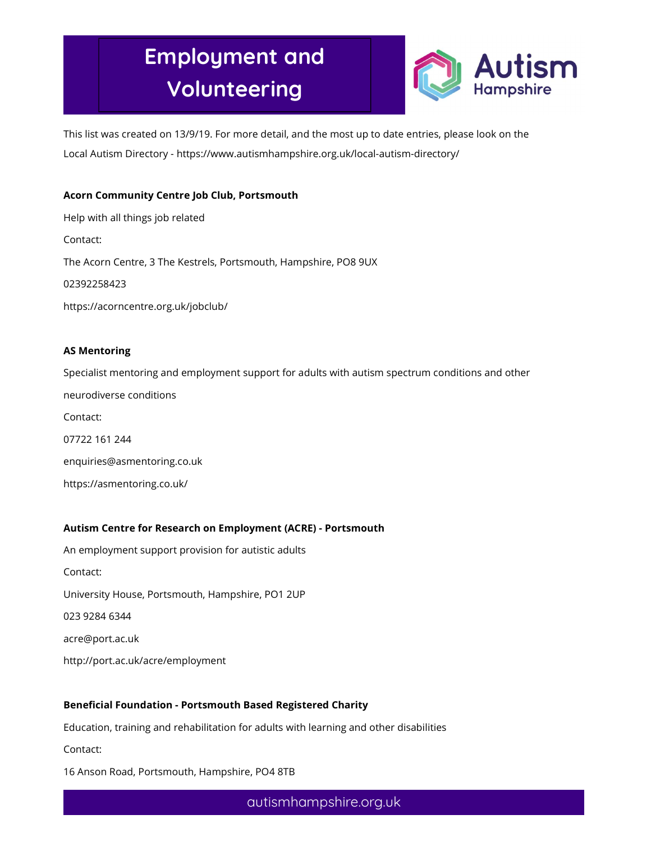

This list was created on 13/9/19. For more detail, and the most up to date entries, please look on the Local Autism Directory - https://www.autismhampshire.org.uk/local-autism-directory/

## Acorn Community Centre Job Club, Portsmouth

Help with all things job related Contact: The Acorn Centre, 3 The Kestrels, Portsmouth, Hampshire, PO8 9UX 02392258423 https://acorncentre.org.uk/jobclub/

#### AS Mentoring

Specialist mentoring and employment support for adults with autism spectrum conditions and other neurodiverse conditions Contact: 07722 161 244 enquiries@asmentoring.co.uk https://asmentoring.co.uk/

### Autism Centre for Research on Employment (ACRE) - Portsmouth

An employment support provision for autistic adults Contact: University House, Portsmouth, Hampshire, PO1 2UP 023 9284 6344 acre@port.ac.uk http://port.ac.uk/acre/employment

### Beneficial Foundation - Portsmouth Based Registered Charity

Education, training and rehabilitation for adults with learning and other disabilities

Contact:

16 Anson Road, Portsmouth, Hampshire, PO4 8TB

autismhampshire.org.uk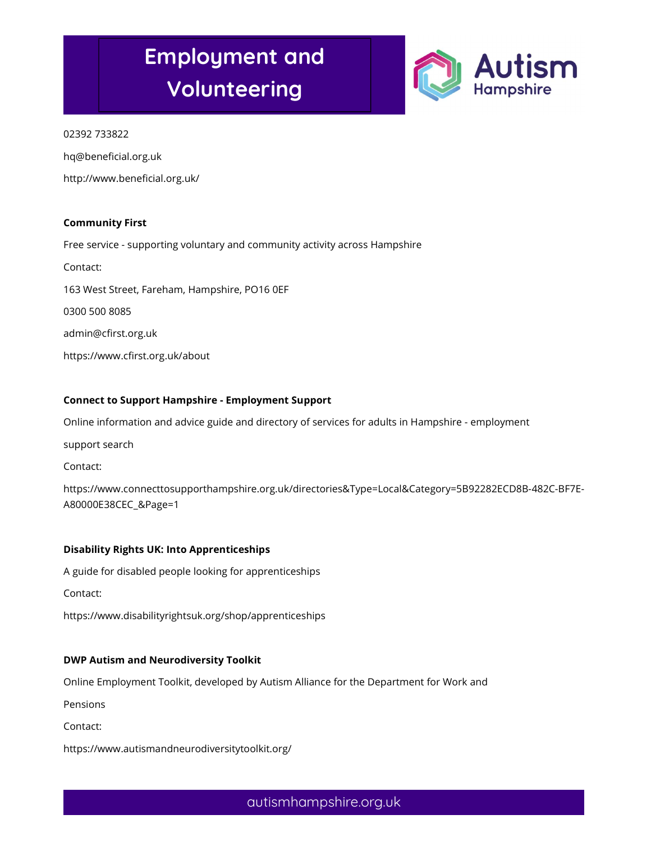

### 02392 733822

hq@beneficial.org.uk

http://www.beneficial.org.uk/

### Community First

Free service - supporting voluntary and community activity across Hampshire

Contact:

163 West Street, Fareham, Hampshire, PO16 0EF

0300 500 8085

admin@cfirst.org.uk

https://www.cfirst.org.uk/about

### Connect to Support Hampshire - Employment Support

Online information and advice guide and directory of services for adults in Hampshire - employment

support search

Contact:

https://www.connecttosupporthampshire.org.uk/directories&Type=Local&Category=5B92282ECD8B-482C-BF7E-A80000E38CEC\_&Page=1

## Disability Rights UK: Into Apprenticeships

A guide for disabled people looking for apprenticeships

Contact:

https://www.disabilityrightsuk.org/shop/apprenticeships

### DWP Autism and Neurodiversity Toolkit

Online Employment Toolkit, developed by Autism Alliance for the Department for Work and

Pensions

Contact:

https://www.autismandneurodiversitytoolkit.org/

autismhampshire.org.uk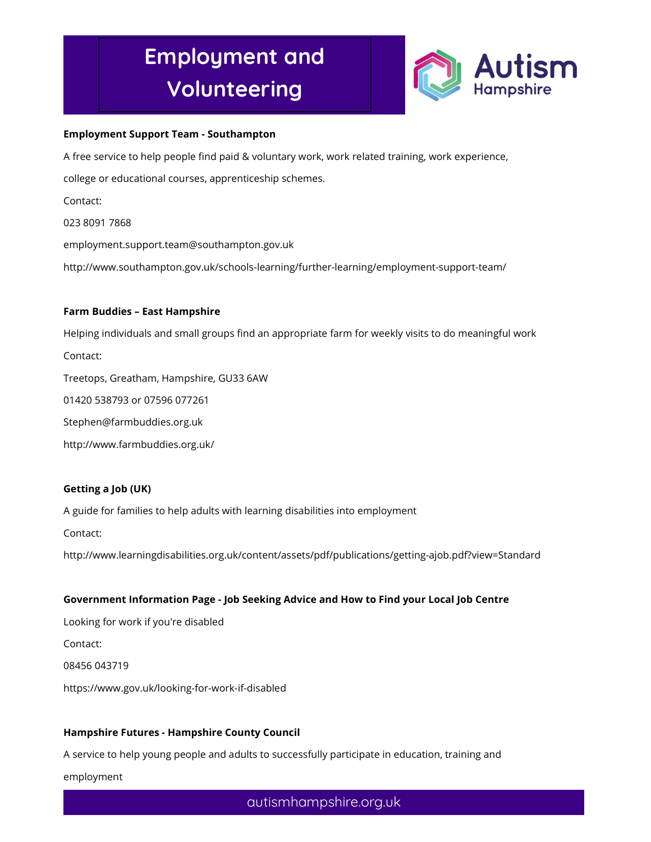

#### Employment Support Team - Southampton

A free service to help people find paid & voluntary work, work related training, work experience,

college or educational courses, apprenticeship schemes.

Contact:

023 8091 7868

employment.support.team@southampton.gov.uk

http://www.southampton.gov.uk/schools-learning/further-learning/employment-support-team/

#### Farm Buddies – East Hampshire

Helping individuals and small groups find an appropriate farm for weekly visits to do meaningful work Contact:

Treetops, Greatham, Hampshire, GU33 6AW

01420 538793 or 07596 077261

Stephen@farmbuddies.org.uk

http://www.farmbuddies.org.uk/

### Getting a Job (UK)

A guide for families to help adults with learning disabilities into employment

Contact:

http://www.learningdisabilities.org.uk/content/assets/pdf/publications/getting-ajob.pdf?view=Standard

### Government Information Page - Job Seeking Advice and How to Find your Local Job Centre

Looking for work if you're disabled Contact: 08456 043719 https://www.gov.uk/looking-for-work-if-disabled

### Hampshire Futures - Hampshire County Council

A service to help young people and adults to successfully participate in education, training and

employment

autismhampshire.org.uk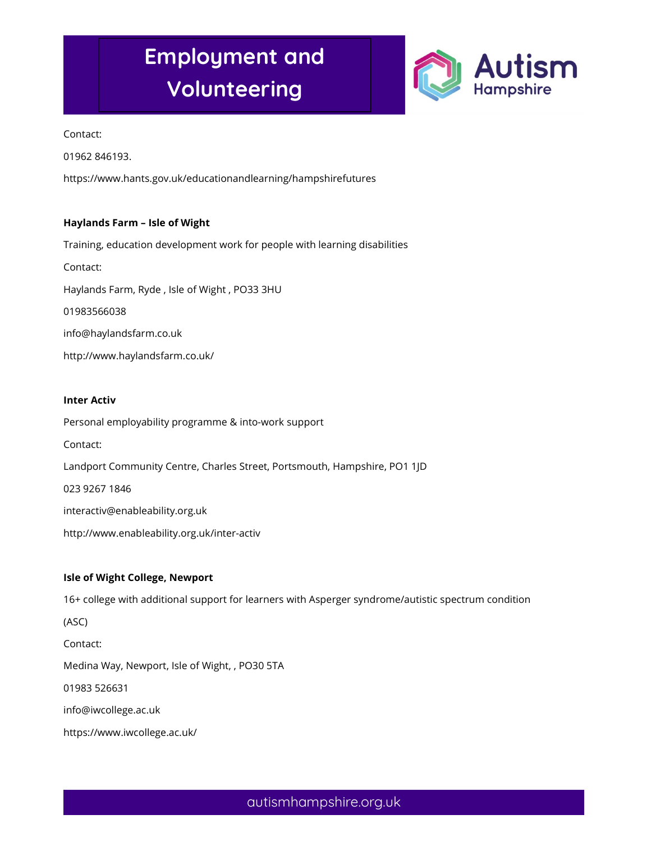

Contact:

01962 846193.

https://www.hants.gov.uk/educationandlearning/hampshirefutures

### Haylands Farm – Isle of Wight

Training, education development work for people with learning disabilities Contact: Haylands Farm, Ryde , Isle of Wight , PO33 3HU 01983566038 info@haylandsfarm.co.uk http://www.haylandsfarm.co.uk/

#### Inter Activ

Personal employability programme & into-work support Contact: Landport Community Centre, Charles Street, Portsmouth, Hampshire, PO1 1JD 023 9267 1846 interactiv@enableability.org.uk http://www.enableability.org.uk/inter-activ

### Isle of Wight College, Newport

16+ college with additional support for learners with Asperger syndrome/autistic spectrum condition (ASC) Contact: Medina Way, Newport, Isle of Wight, , PO30 5TA 01983 526631 info@iwcollege.ac.uk https://www.iwcollege.ac.uk/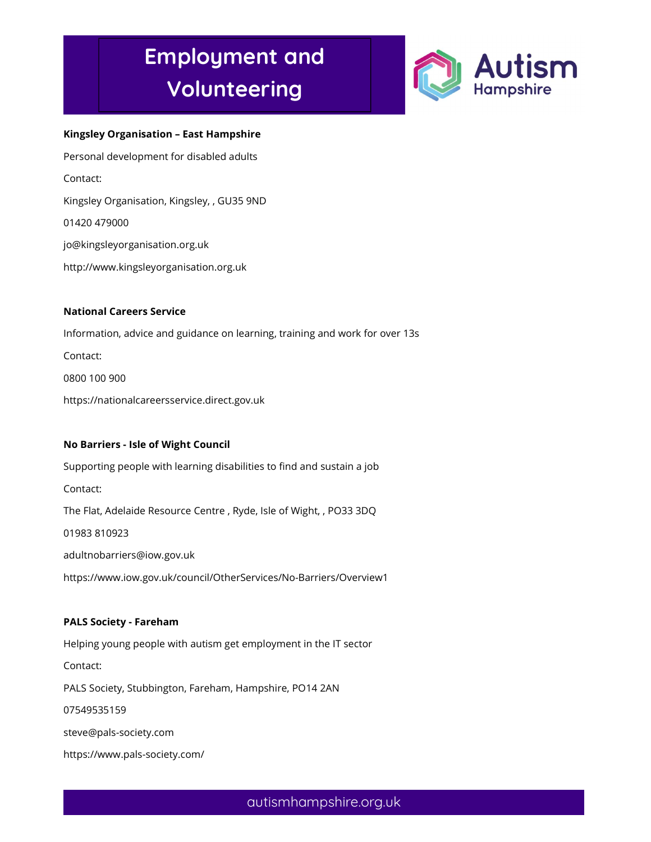

#### Kingsley Organisation – East Hampshire

Personal development for disabled adults Contact: Kingsley Organisation, Kingsley, , GU35 9ND 01420 479000 jo@kingsleyorganisation.org.uk http://www.kingsleyorganisation.org.uk National Careers Service

Information, advice and guidance on learning, training and work for over 13s Contact: 0800 100 900 https://nationalcareersservice.direct.gov.uk

## No Barriers - Isle of Wight Council

Supporting people with learning disabilities to find and sustain a job Contact: The Flat, Adelaide Resource Centre , Ryde, Isle of Wight, , PO33 3DQ 01983 810923 adultnobarriers@iow.gov.uk https://www.iow.gov.uk/council/OtherServices/No-Barriers/Overview1

#### PALS Society - Fareham

Helping young people with autism get employment in the IT sector Contact: PALS Society, Stubbington, Fareham, Hampshire, PO14 2AN 07549535159 steve@pals-society.com https://www.pals-society.com/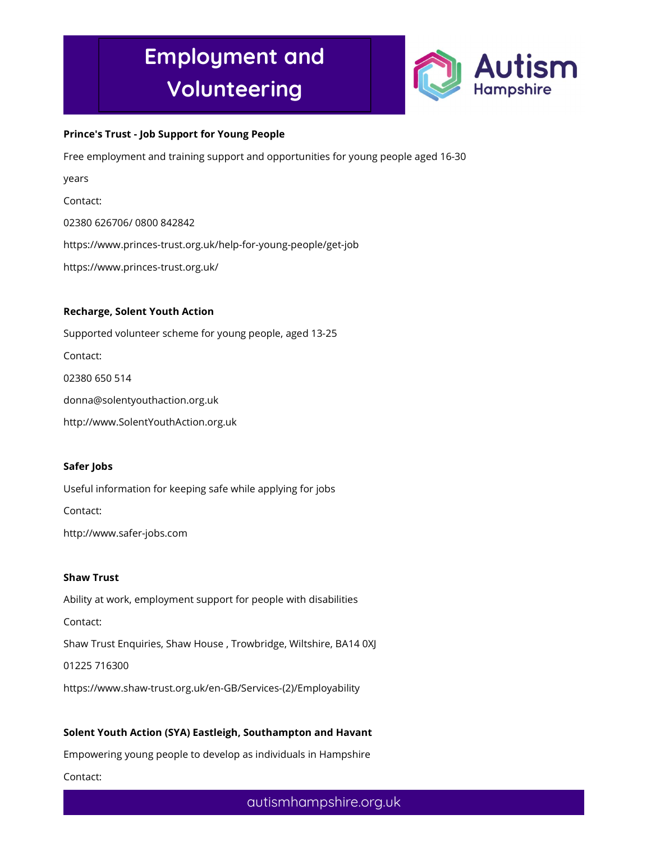

### Prince's Trust - Job Support for Young People

Free employment and training support and opportunities for young people aged 16-30

years

Contact:

02380 626706/ 0800 842842

https://www.princes-trust.org.uk/help-for-young-people/get-job

https://www.princes-trust.org.uk/

### Recharge, Solent Youth Action

Supported volunteer scheme for young people, aged 13-25 Contact: 02380 650 514 donna@solentyouthaction.org.uk

http://www.SolentYouthAction.org.uk

### Safer Jobs

Useful information for keeping safe while applying for jobs

Contact:

http://www.safer-jobs.com

### Shaw Trust

Ability at work, employment support for people with disabilities Contact: Shaw Trust Enquiries, Shaw House , Trowbridge, Wiltshire, BA14 0XJ 01225 716300 https://www.shaw-trust.org.uk/en-GB/Services-(2)/Employability

### Solent Youth Action (SYA) Eastleigh, Southampton and Havant

Empowering young people to develop as individuals in Hampshire

Contact: